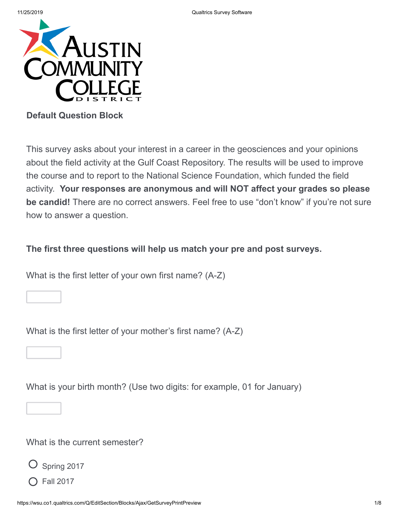

### **Default Question Block**

This survey asks about your interest in a career in the geosciences and your opinions about the field activity at the Gulf Coast Repository. The results will be used to improve the course and to report to the National Science Foundation, which funded the field activity. **Your responses are anonymous and will NOT affect your grades so please be candid!** There are no correct answers. Feel free to use "don't know" if you're not sure how to answer a question.

## **The first three questions will help us match your pre and post surveys.**

What is the first letter of your own first name? (A-Z)

What is the first letter of your mother's first name? (A-Z)

What is your birth month? (Use two digits: for example, 01 for January)

What is the current semester?

Spring 2017

Fall 2017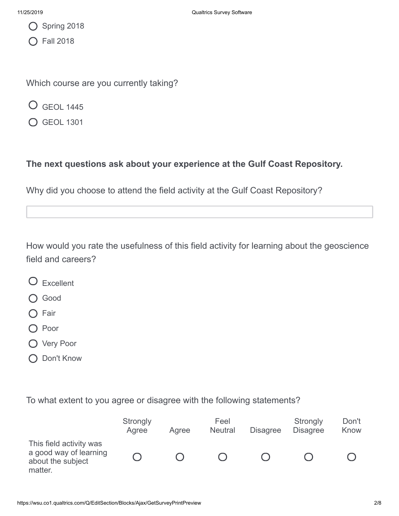Spring 2018

◯ Fall 2018

Which course are you currently taking?

GEOL 1445

GEOL 1301

# **The next questions ask about your experience at the Gulf Coast Repository.**

Why did you choose to attend the field activity at the Gulf Coast Repository?

How would you rate the usefulness of this field activity for learning about the geoscience field and careers?

| Excellent |  |
|-----------|--|
|           |  |

- O Good
- ◯ Fair
- O Poor
- O Very Poor
- O Don't Know

To what extent to you agree or disagree with the following statements?

|                                                                                   | Strongly<br>Agree | Agree | Feel<br><b>Neutral</b> | <b>Disagree</b> | Strongly<br><b>Disagree</b> | Don't<br>Know |
|-----------------------------------------------------------------------------------|-------------------|-------|------------------------|-----------------|-----------------------------|---------------|
| This field activity was<br>a good way of learning<br>about the subject<br>matter. |                   |       |                        |                 |                             |               |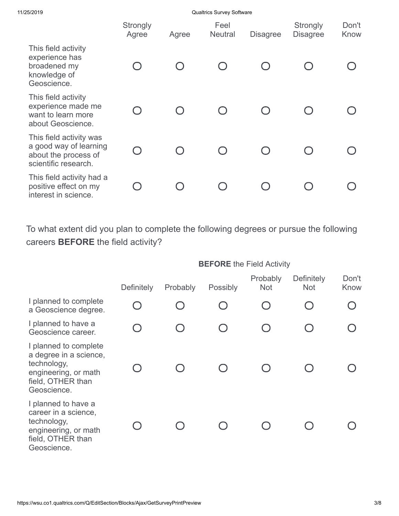Qualtrics Survey Software **Strongly** Feel **Strongly** Don't Agree Agree Neutral Disagree **Disagree** Know This field activity experience has broadened my  $\bigcirc$  $\bigcirc$  $\bigcirc$  $\bigcirc$  $\bigcirc$  $\bigcap$ knowledge of Geoscience. This field activity experience made me  $\overline{O}$  $\bigcirc$  $\bigcirc$  $\bigcirc$  $\bigcirc$  $\bigcap$ want to learn more about Geoscience. This field activity was a good way of learning  $\bigcirc$  $\bigcirc$  $\bigcirc$  $\bigcirc$  $\bigcap$  $\bigcap$ about the process of scientific research. This field activity had a  $\bigcirc$  $\bigcirc$ positive effect on my  $\bigcirc$  $\bigcirc$  $\bigcirc$  $\bigcirc$ interest in science.

To what extent did you plan to complete the following degrees or pursue the following careers **BEFORE** the field activity?

|                                                                                                                            | <b>BEFORE</b> the Field Activity |                                  |          |                        |                                 |               |
|----------------------------------------------------------------------------------------------------------------------------|----------------------------------|----------------------------------|----------|------------------------|---------------------------------|---------------|
|                                                                                                                            | <b>Definitely</b>                | Probably                         | Possibly | Probably<br><b>Not</b> | <b>Definitely</b><br><b>Not</b> | Don't<br>Know |
| I planned to complete<br>a Geoscience degree.                                                                              |                                  |                                  |          |                        |                                 |               |
| I planned to have a<br>Geoscience career.                                                                                  |                                  | $\begin{array}{ccc} \end{array}$ |          |                        |                                 |               |
| I planned to complete<br>a degree in a science,<br>technology,<br>engineering, or math<br>field, OTHER than<br>Geoscience. |                                  |                                  |          |                        |                                 |               |
| I planned to have a<br>career in a science,<br>technology,<br>engineering, or math<br>field, OTHER than<br>Geoscience.     |                                  |                                  |          |                        |                                 |               |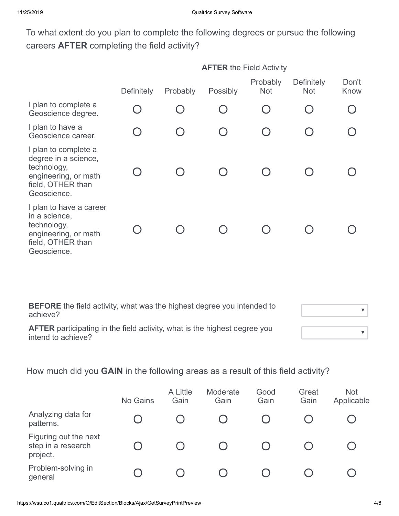To what extent do you plan to complete the following degrees or pursue the following careers **AFTER** completing the field activity?

|                                                                                                                         | <b>AFTER the Field Activity</b> |          |          |                        |                          |               |
|-------------------------------------------------------------------------------------------------------------------------|---------------------------------|----------|----------|------------------------|--------------------------|---------------|
|                                                                                                                         | Definitely                      | Probably | Possibly | Probably<br><b>Not</b> | Definitely<br><b>Not</b> | Don't<br>Know |
| I plan to complete a<br>Geoscience degree.                                                                              |                                 |          |          |                        |                          |               |
| I plan to have a<br>Geoscience career.                                                                                  |                                 |          |          |                        |                          |               |
| I plan to complete a<br>degree in a science,<br>technology,<br>engineering, or math<br>field, OTHER than<br>Geoscience. |                                 |          |          |                        |                          |               |
| I plan to have a career<br>in a science,<br>technology,<br>engineering, or math<br>field, OTHER than<br>Geoscience.     |                                 |          |          |                        |                          |               |

**BEFORE** the field activity, what was the highest degree you intended to  $\overline{\mathbf{v}}$ achieve? **AFTER** participating in the field activity, what is the highest degree you  $\overline{\mathbf{v}}$ intend to achieve?

How much did you **GAIN** in the following areas as a result of this field activity?

|                                                         | No Gains | A Little<br>Gain | Moderate<br>Gain | Good<br>Gain | Great<br>Gain | <b>Not</b><br>Applicable |
|---------------------------------------------------------|----------|------------------|------------------|--------------|---------------|--------------------------|
| Analyzing data for<br>patterns.                         |          |                  |                  |              |               |                          |
| Figuring out the next<br>step in a research<br>project. |          |                  |                  |              |               |                          |
| Problem-solving in<br>general                           |          |                  |                  |              |               |                          |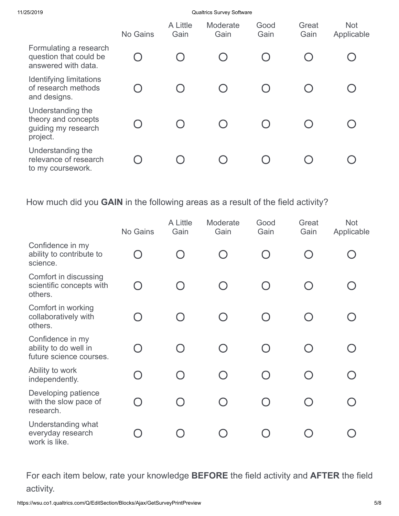| 11/25/2019                                                                  | Qualtrics Survey Software |                  |                  |              |               |                          |  |  |
|-----------------------------------------------------------------------------|---------------------------|------------------|------------------|--------------|---------------|--------------------------|--|--|
|                                                                             | No Gains                  | A Little<br>Gain | Moderate<br>Gain | Good<br>Gain | Great<br>Gain | <b>Not</b><br>Applicable |  |  |
| Formulating a research<br>question that could be<br>answered with data.     |                           |                  |                  |              |               |                          |  |  |
| <b>Identifying limitations</b><br>of research methods<br>and designs.       |                           |                  |                  |              |               |                          |  |  |
| Understanding the<br>theory and concepts<br>guiding my research<br>project. |                           |                  |                  |              |               |                          |  |  |
| Understanding the<br>relevance of research<br>to my coursework.             |                           |                  |                  |              |               |                          |  |  |

How much did you **GAIN** in the following areas as a result of the field activity?

|                                                                      | No Gains  | A Little<br>Gain | Moderate<br>Gain | Good<br>Gain | Great<br>Gain | <b>Not</b><br>Applicable |
|----------------------------------------------------------------------|-----------|------------------|------------------|--------------|---------------|--------------------------|
| Confidence in my<br>ability to contribute to<br>science.             |           |                  |                  |              |               |                          |
| Comfort in discussing<br>scientific concepts with<br>others.         | ∩         |                  |                  |              |               |                          |
| Comfort in working<br>collaboratively with<br>others.                |           |                  |                  |              |               |                          |
| Confidence in my<br>ability to do well in<br>future science courses. | $\Box$    |                  |                  |              |               |                          |
| Ability to work<br>independently.                                    | $\Box$    |                  |                  | $\bigcap$    |               |                          |
| Developing patience<br>with the slow pace of<br>research.            | $\bigcap$ |                  |                  | $\cap$       |               |                          |
| Understanding what<br>everyday research<br>work is like.             |           |                  |                  |              |               |                          |

For each item below, rate your knowledge **BEFORE** the field activity and **AFTER** the field activity.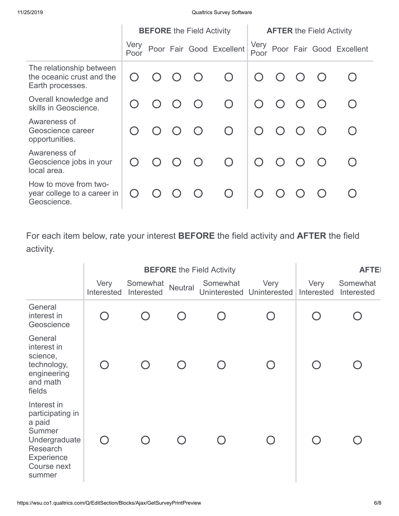#### 11/25/2019 Qualtrics Survey Software

|                                                                           | <b>BEFORE</b> the Field Activity |  |  |           |                          | <b>AFTER the Field Activity</b> |                        |  |            |                          |
|---------------------------------------------------------------------------|----------------------------------|--|--|-----------|--------------------------|---------------------------------|------------------------|--|------------|--------------------------|
|                                                                           | Very<br>Poor                     |  |  |           | Poor Fair Good Excellent | Very<br>Poor                    |                        |  |            | Poor Fair Good Excellent |
| The relationship between<br>the oceanic crust and the<br>Earth processes. |                                  |  |  |           | $\bigcap$                |                                 |                        |  |            |                          |
| Overall knowledge and<br>skills in Geoscience.                            |                                  |  |  |           | $\bigcap$                |                                 | $\left( \right)$       |  |            |                          |
| Awareness of<br>Geoscience career<br>opportunities.                       |                                  |  |  | $\bigcap$ | $\bigcap$                | $\bigcap$                       | $\bigcirc$             |  | $\bigcap$  |                          |
| Awareness of<br>Geoscience jobs in your<br>local area.                    |                                  |  |  | $\bigcap$ | $\bigcap$                | $\bigcap$                       | $\left( \quad \right)$ |  | $\bigcirc$ |                          |
| How to move from two-<br>year college to a career in<br>Geoscience.       |                                  |  |  |           | $\bigcap$                |                                 |                        |  |            |                          |

For each item below, rate your interest **BEFORE** the field activity and **AFTER** the field activity.

|                                                                                                                                       |                                               | <b>BEFORE</b> the Field Activity |                | <b>AFTEI</b> |                                   |                    |                        |
|---------------------------------------------------------------------------------------------------------------------------------------|-----------------------------------------------|----------------------------------|----------------|--------------|-----------------------------------|--------------------|------------------------|
|                                                                                                                                       | Very<br>Interested                            | Somewhat<br>Interested           | <b>Neutral</b> | Somewhat     | Very<br>Uninterested Uninterested | Very<br>Interested | Somewhat<br>Interested |
| General<br>interest in<br>Geoscience                                                                                                  |                                               |                                  |                |              | $\cap$                            |                    |                        |
| General<br>interest in<br>science,<br>technology,<br>engineering<br>and math<br>fields                                                |                                               |                                  |                |              |                                   |                    |                        |
| Interest in<br>participating in<br>a paid<br><b>Summer</b><br>Undergraduate<br><b>Research</b><br>Experience<br>Course next<br>summer | $\left( \begin{array}{c} \end{array} \right)$ |                                  |                |              |                                   |                    |                        |